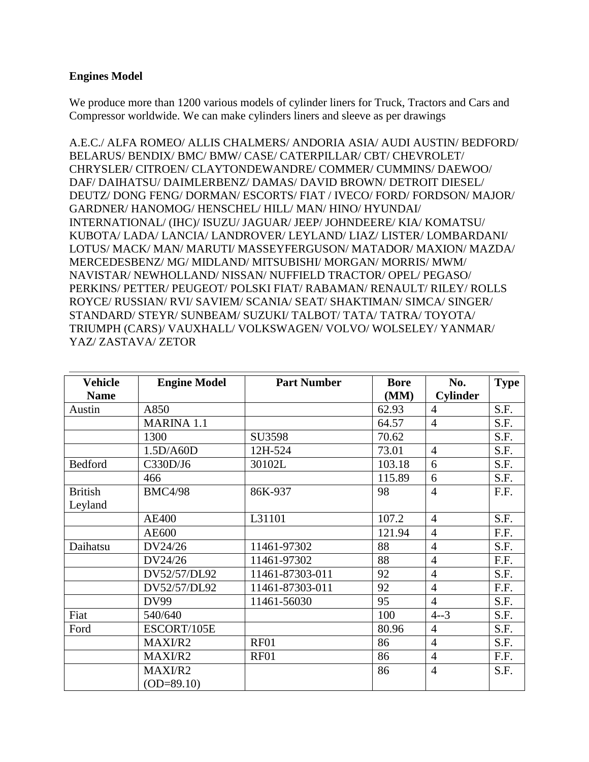## **Engines Model**

We produce more than 1200 various models of cylinder liners for Truck, Tractors and Cars and Compressor worldwide. We can make cylinders liners and sleeve as per drawings

A.E.C./ ALFA ROMEO/ ALLIS CHALMERS/ ANDORIA ASIA/ AUDI AUSTIN/ BEDFORD/ BELARUS/ BENDIX/ BMC/ BMW/ CASE/ CATERPILLAR/ CBT/ CHEVROLET/ CHRYSLER/ CITROEN/ CLAYTONDEWANDRE/ COMMER/ CUMMINS/ DAEWOO/ DAF/ DAIHATSU/ DAIMLERBENZ/ DAMAS/ DAVID BROWN/ DETROIT DIESEL/ DEUTZ/ DONG FENG/ DORMAN/ ESCORTS/ FIAT / IVECO/ FORD/ FORDSON/ MAJOR/ GARDNER/ HANOMOG/ HENSCHEL/ HILL/ MAN/ HINO/ HYUNDAI/ INTERNATIONAL/ (IHC)/ ISUZU/ JAGUAR/ JEEP/ JOHNDEERE/ KIA/ KOMATSU/ KUBOTA/ LADA/ LANCIA/ LANDROVER/ LEYLAND/ LIAZ/ LISTER/ LOMBARDANI/ LOTUS/ MACK/ MAN/ MARUTI/ MASSEYFERGUSON/ MATADOR/ MAXION/ MAZDA/ MERCEDESBENZ/ MG/ MIDLAND/ MITSUBISHI/ MORGAN/ MORRIS/ MWM/ NAVISTAR/ NEWHOLLAND/ NISSAN/ NUFFIELD TRACTOR/ OPEL/ PEGASO/ PERKINS/ PETTER/ PEUGEOT/ POLSKI FIAT/ RABAMAN/ RENAULT/ RILEY/ ROLLS ROYCE/ RUSSIAN/ RVI/ SAVIEM/ SCANIA/ SEAT/ SHAKTIMAN/ SIMCA/ SINGER/ STANDARD/ STEYR/ SUNBEAM/ SUZUKI/ TALBOT/ TATA/ TATRA/ TOYOTA/ TRIUMPH (CARS)/ VAUXHALL/ VOLKSWAGEN/ VOLVO/ WOLSELEY/ YANMAR/ YAZ/ ZASTAVA/ ZETOR

| <b>Vehicle</b> | <b>Engine Model</b> | <b>Part Number</b> | <b>Bore</b> | No.             | <b>Type</b> |
|----------------|---------------------|--------------------|-------------|-----------------|-------------|
| <b>Name</b>    |                     |                    | (MM)        | <b>Cylinder</b> |             |
| Austin         | A850                |                    | 62.93       | $\overline{4}$  | S.F.        |
|                | <b>MARINA 1.1</b>   |                    | 64.57       | $\overline{4}$  | S.F.        |
|                | 1300                | SU3598             | 70.62       |                 | S.F.        |
|                | 1.5D/AG0D           | 12H-524            | 73.01       | $\overline{4}$  | S.F.        |
| Bedford        | C330D/J6            | 30102L             | 103.18      | 6               | S.F.        |
|                | 466                 |                    | 115.89      | 6               | S.F.        |
| <b>British</b> | <b>BMC4/98</b>      | 86K-937            | 98          | $\overline{4}$  | F.F.        |
| Leyland        |                     |                    |             |                 |             |
|                | <b>AE400</b>        | L31101             | 107.2       | $\overline{4}$  | S.F.        |
|                | AE600               |                    | 121.94      | $\overline{4}$  | F.F.        |
| Daihatsu       | DV24/26             | 11461-97302        | 88          | $\overline{4}$  | S.F.        |
|                | DV24/26             | 11461-97302        | 88          | $\overline{4}$  | F.F.        |
|                | DV52/57/DL92        | 11461-87303-011    | 92          | $\overline{4}$  | S.F.        |
|                | DV52/57/DL92        | 11461-87303-011    | 92          | $\overline{4}$  | F.F.        |
|                | <b>DV99</b>         | 11461-56030        | 95          | $\overline{4}$  | S.F.        |
| Fiat           | 540/640             |                    | 100         | $4 - 3$         | S.F.        |
| Ford           | ESCORT/105E         |                    | 80.96       | $\overline{4}$  | S.F.        |
|                | MAXI/R2             | <b>RF01</b>        | 86          | $\overline{4}$  | S.F.        |
|                | MAXI/R2             | <b>RF01</b>        | 86          | $\overline{4}$  | F.F.        |
|                | MAXI/R2             |                    | 86          | $\overline{4}$  | S.F.        |
|                | $(OD = 89.10)$      |                    |             |                 |             |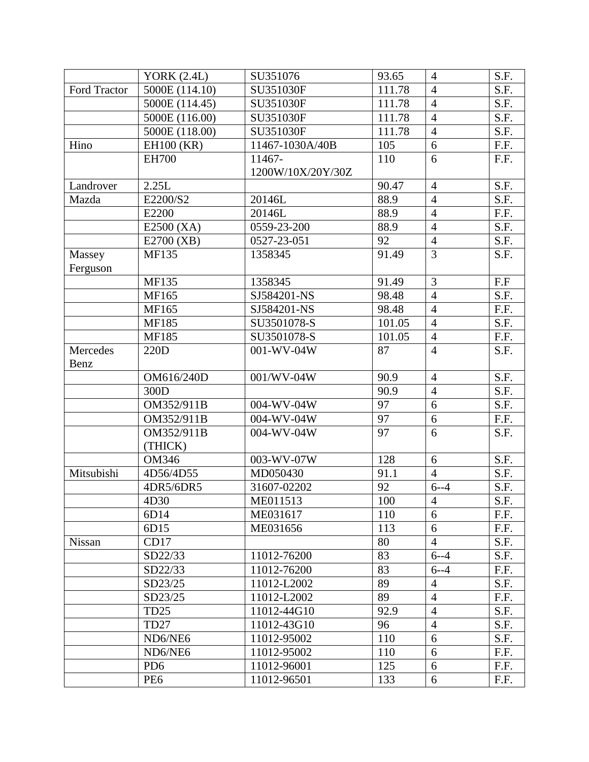|               | YORK $(2.4L)$    | SU351076          | 93.65  | $\overline{4}$ | S.F. |
|---------------|------------------|-------------------|--------|----------------|------|
| Ford Tractor  | 5000E (114.10)   | SU351030F         | 111.78 | $\overline{4}$ | S.F. |
|               | 5000E (114.45)   | SU351030F         | 111.78 | $\overline{4}$ | S.F. |
|               | 5000E (116.00)   | SU351030F         | 111.78 | $\overline{4}$ | S.F. |
|               | 5000E (118.00)   | SU351030F         | 111.78 | $\overline{4}$ | S.F. |
| Hino          | EH100 (KR)       | 11467-1030A/40B   | 105    | 6              | F.F. |
|               | <b>EH700</b>     | 11467-            | 110    | 6              | F.F. |
|               |                  | 1200W/10X/20Y/30Z |        |                |      |
| Landrover     | 2.25L            |                   | 90.47  | $\overline{4}$ | S.F. |
| Mazda         | E2200/S2         | 20146L            | 88.9   | $\overline{4}$ | S.F. |
|               | E2200            | 20146L            | 88.9   | $\overline{4}$ | F.F. |
|               | $E2500$ (XA)     | 0559-23-200       | 88.9   | $\overline{4}$ | S.F. |
|               | E2700 (XB)       | 0527-23-051       | 92     | $\overline{4}$ | S.F. |
| Massey        | <b>MF135</b>     | 1358345           | 91.49  | $\overline{3}$ | S.F. |
| Ferguson      |                  |                   |        |                |      |
|               | <b>MF135</b>     | 1358345           | 91.49  | 3              | F.F  |
|               | MF165            | SJ584201-NS       | 98.48  | $\overline{4}$ | S.F. |
|               | MF165            | SJ584201-NS       | 98.48  | $\overline{4}$ | F.F. |
|               | <b>MF185</b>     | SU3501078-S       | 101.05 | $\overline{4}$ | S.F. |
|               | <b>MF185</b>     | SU3501078-S       | 101.05 | $\overline{4}$ | F.F. |
| Mercedes      | 220D             | 001-WV-04W        | 87     | $\overline{4}$ | S.F. |
| Benz          |                  |                   |        |                |      |
|               | OM616/240D       | 001/WV-04W        | 90.9   | $\overline{4}$ | S.F. |
|               | 300D             |                   | 90.9   | $\overline{4}$ | S.F. |
|               | OM352/911B       | 004-WV-04W        | 97     | $\overline{6}$ | S.F. |
|               | OM352/911B       | 004-WV-04W        | 97     | 6              | F.F. |
|               | OM352/911B       | 004-WV-04W        | 97     | 6              | S.F. |
|               | (THICK)          |                   |        |                |      |
|               | <b>OM346</b>     | 003-WV-07W        | 128    | 6              | S.F. |
| Mitsubishi    | 4D56/4D55        | MD050430          | 91.1   | $\overline{4}$ | S.F. |
|               | 4DR5/6DR5        | 31607-02202       | 92     | $6 - -4$       | S.F. |
|               | 4D30             | ME011513          | 100    | $\overline{4}$ | S.F. |
|               | 6D14             | ME031617          | 110    | $\overline{6}$ | F.F. |
|               | 6D15             | ME031656          | 113    | 6              | F.F. |
| <b>Nissan</b> | CD17             |                   | 80     | $\overline{4}$ | S.F. |
|               | SD22/33          | 11012-76200       | 83     | $6 - -4$       | S.F. |
|               | SD22/33          | 11012-76200       | 83     | $6 - -4$       | F.F. |
|               | SD23/25          | 11012-L2002       | 89     | $\overline{4}$ | S.F. |
|               | SD23/25          | 11012-L2002       | 89     | $\overline{4}$ | F.F. |
|               | <b>TD25</b>      | 11012-44G10       | 92.9   | $\overline{4}$ | S.F. |
|               | TD <sub>27</sub> | 11012-43G10       | 96     | $\overline{4}$ | S.F. |
|               | ND6/NE6          | 11012-95002       | 110    | 6              | S.F. |
|               | ND6/NE6          | 11012-95002       | 110    | 6              | F.F. |
|               | PD <sub>6</sub>  | 11012-96001       | 125    | 6              | F.F. |
|               | PE <sub>6</sub>  | 11012-96501       | 133    | 6              | F.F. |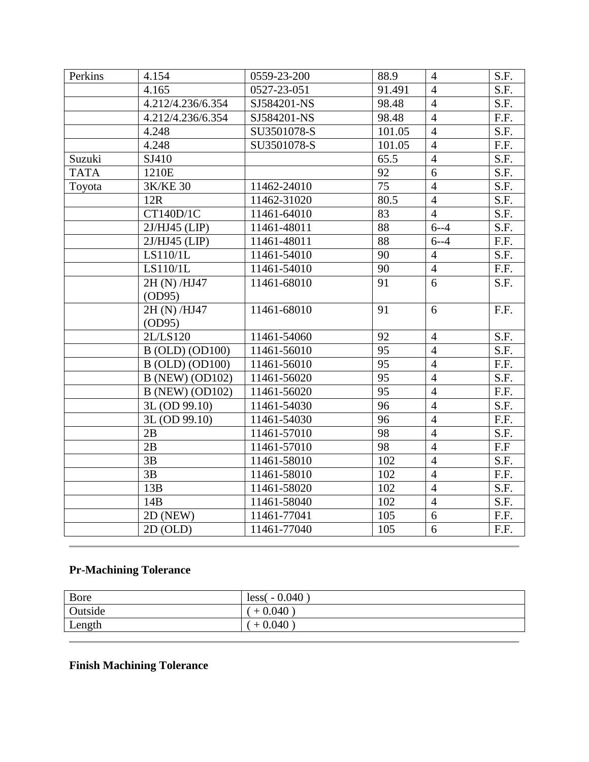| Perkins     | 4.154                  | 0559-23-200 | 88.9            | $\overline{4}$ | S.F. |
|-------------|------------------------|-------------|-----------------|----------------|------|
|             | 4.165                  | 0527-23-051 | 91.491          | $\overline{4}$ | S.F. |
|             | 4.212/4.236/6.354      | SJ584201-NS | 98.48           | $\overline{4}$ | S.F. |
|             | 4.212/4.236/6.354      | SJ584201-NS | 98.48           | $\overline{4}$ | F.F. |
|             | 4.248                  | SU3501078-S | 101.05          | $\overline{4}$ | S.F. |
|             | 4.248                  | SU3501078-S | 101.05          | $\overline{4}$ | F.F. |
| Suzuki      | SJ410                  |             | 65.5            | $\overline{4}$ | S.F. |
| <b>TATA</b> | 1210E                  |             | 92              | $\overline{6}$ | S.F. |
| Toyota      | $3K/KE$ $30$           | 11462-24010 | $\overline{75}$ | $\overline{4}$ | S.F. |
|             | 12R                    | 11462-31020 | 80.5            | $\overline{4}$ | S.F. |
|             | CT140D/1C              | 11461-64010 | 83              | $\overline{4}$ | S.F. |
|             | $2J/HJ45$ (LIP)        | 11461-48011 | 88              | $6 - -4$       | S.F. |
|             | $2J/HJ45$ (LIP)        | 11461-48011 | 88              | $6 - -4$       | F.F. |
|             | LS110/1L               | 11461-54010 | 90              | $\overline{4}$ | S.F. |
|             | LS110/1L               | 11461-54010 | 90              | $\overline{4}$ | F.F. |
|             | 2H (N) /HJ47           | 11461-68010 | $\overline{91}$ | $\overline{6}$ | S.F. |
|             | (OD95)                 |             |                 |                |      |
|             | 2H (N) /HJ47           | 11461-68010 | 91              | 6              | F.F. |
|             | OD95)                  |             |                 |                |      |
|             | 2L/LS120               | 11461-54060 | 92              | $\overline{4}$ | S.F. |
|             | <b>B</b> (OLD) (OD100) | 11461-56010 | 95              | $\overline{4}$ | S.F. |
|             | <b>B</b> (OLD) (OD100) | 11461-56010 | $\overline{95}$ | $\overline{4}$ | F.F. |
|             | <b>B</b> (NEW) (OD102) | 11461-56020 | $\overline{95}$ | $\overline{4}$ | S.F. |
|             | <b>B</b> (NEW) (OD102) | 11461-56020 | 95              | $\overline{4}$ | F.F. |
|             | 3L (OD 99.10)          | 11461-54030 | 96              | $\overline{4}$ | S.F. |
|             | 3L (OD 99.10)          | 11461-54030 | 96              | $\overline{4}$ | F.F. |
|             | 2B                     | 11461-57010 | $\overline{98}$ | $\overline{4}$ | S.F. |
|             | 2B                     | 11461-57010 | $\overline{98}$ | $\overline{4}$ | F.F  |
|             | 3B                     | 11461-58010 | 102             | $\overline{4}$ | S.F. |
|             | 3B                     | 11461-58010 | 102             | $\overline{4}$ | F.F. |
|             | 13B                    | 11461-58020 | 102             | $\overline{4}$ | S.F. |
|             | 14B                    | 11461-58040 | 102             | $\overline{4}$ | S.F. |
|             | 2D (NEW)               | 11461-77041 | 105             | $\overline{6}$ | F.F. |
|             | 2D (OLD)               | 11461-77040 | 105             | 6              | F.F. |

## **Pr-Machining Tolerance**

| Bore    | $less(-0.040)$ |
|---------|----------------|
| Outside | $+0.040$       |
| Length  | $+0.040$       |

## **Finish Machining Tolerance**